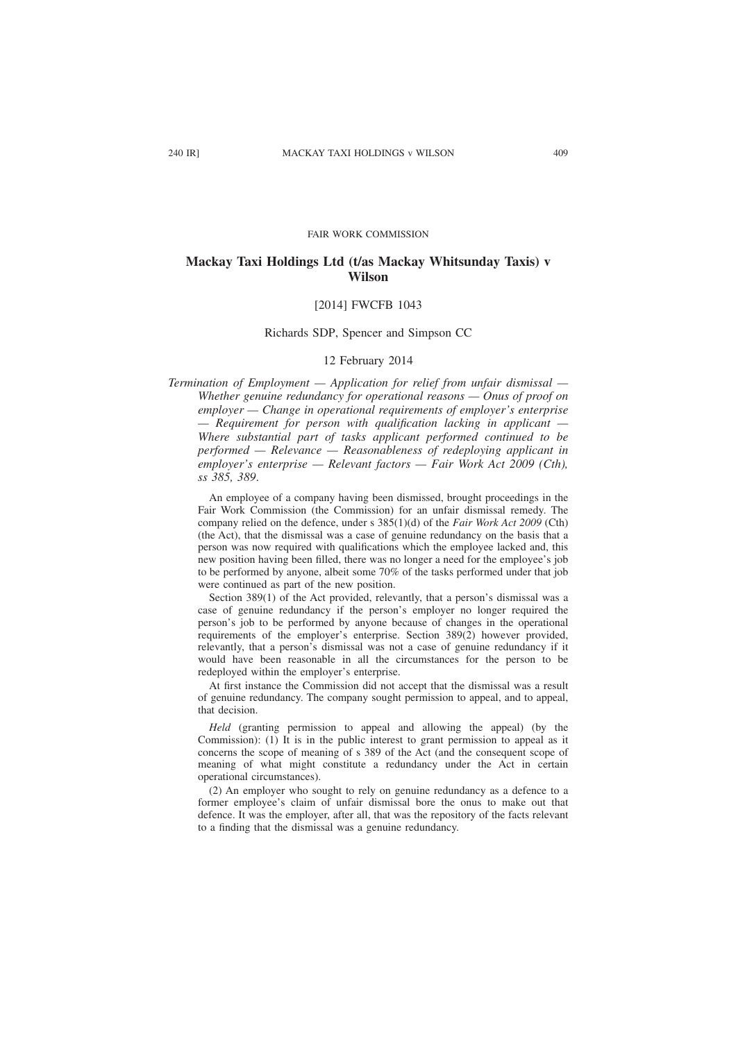#### FAIR WORK COMMISSION

# **Mackay Taxi Holdings Ltd (t/as Mackay Whitsunday Taxis) v Wilson**

# [2014] FWCFB 1043

# Richards SDP, Spencer and Simpson CC

# 12 February 2014

*Termination of Employment — Application for relief from unfair dismissal — Whether genuine redundancy for operational reasons — Onus of proof on employer — Change in operational requirements of employer's enterprise — Requirement for person with qualification lacking in applicant — Where substantial part of tasks applicant performed continued to be performed — Relevance — Reasonableness of redeploying applicant in employer's enterprise — Relevant factors — Fair Work Act 2009 (Cth), ss 385, 389*.

An employee of a company having been dismissed, brought proceedings in the Fair Work Commission (the Commission) for an unfair dismissal remedy. The company relied on the defence, under s 385(1)(d) of the *Fair Work Act 2009* (Cth) (the Act), that the dismissal was a case of genuine redundancy on the basis that a person was now required with qualifications which the employee lacked and, this new position having been filled, there was no longer a need for the employee's job to be performed by anyone, albeit some 70% of the tasks performed under that job were continued as part of the new position.

Section 389(1) of the Act provided, relevantly, that a person's dismissal was a case of genuine redundancy if the person's employer no longer required the person's job to be performed by anyone because of changes in the operational requirements of the employer's enterprise. Section 389(2) however provided, relevantly, that a person's dismissal was not a case of genuine redundancy if it would have been reasonable in all the circumstances for the person to be redeployed within the employer's enterprise.

At first instance the Commission did not accept that the dismissal was a result of genuine redundancy. The company sought permission to appeal, and to appeal, that decision.

*Held* (granting permission to appeal and allowing the appeal) (by the Commission): (1) It is in the public interest to grant permission to appeal as it concerns the scope of meaning of s 389 of the Act (and the consequent scope of meaning of what might constitute a redundancy under the Act in certain operational circumstances).

(2) An employer who sought to rely on genuine redundancy as a defence to a former employee's claim of unfair dismissal bore the onus to make out that defence. It was the employer, after all, that was the repository of the facts relevant to a finding that the dismissal was a genuine redundancy.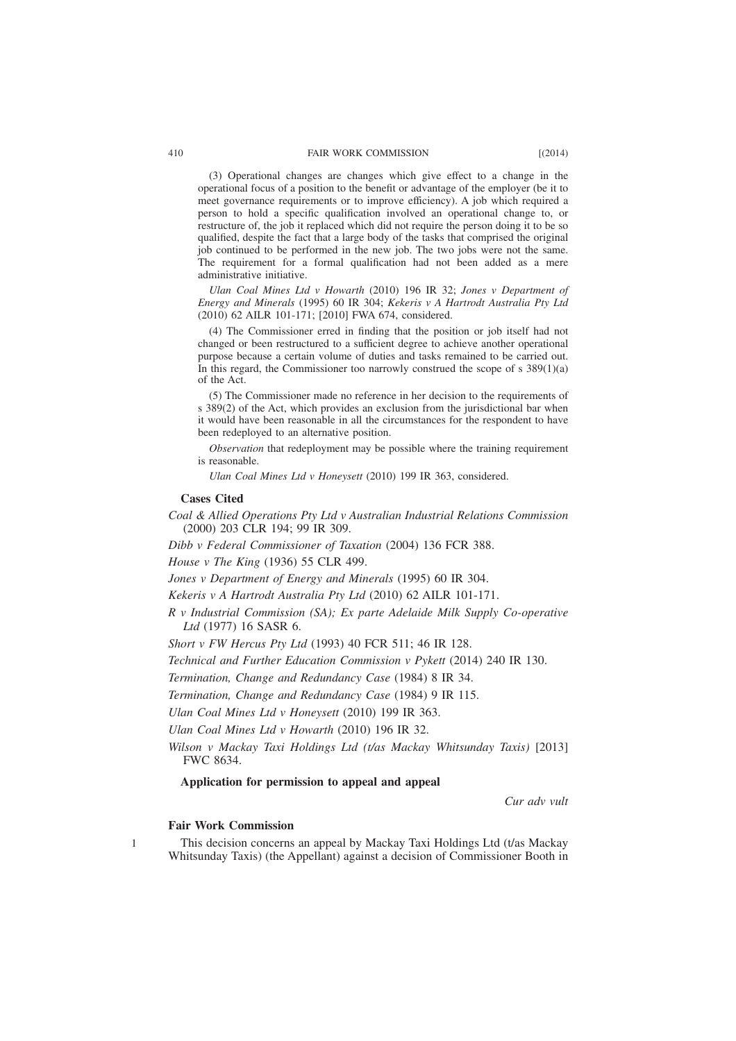(3) Operational changes are changes which give effect to a change in the operational focus of a position to the benefit or advantage of the employer (be it to meet governance requirements or to improve efficiency). A job which required a person to hold a specific qualification involved an operational change to, or restructure of, the job it replaced which did not require the person doing it to be so qualified, despite the fact that a large body of the tasks that comprised the original job continued to be performed in the new job. The two jobs were not the same. The requirement for a formal qualification had not been added as a mere administrative initiative.

*Ulan Coal Mines Ltd v Howarth* (2010) 196 IR 32; *Jones v Department of Energy and Minerals* (1995) 60 IR 304; *Kekeris v A Hartrodt Australia Pty Ltd* (2010) 62 AILR 101-171; [2010] FWA 674, considered.

(4) The Commissioner erred in finding that the position or job itself had not changed or been restructured to a sufficient degree to achieve another operational purpose because a certain volume of duties and tasks remained to be carried out. In this regard, the Commissioner too narrowly construed the scope of s  $389(1)(a)$ of the Act.

(5) The Commissioner made no reference in her decision to the requirements of s 389(2) of the Act, which provides an exclusion from the jurisdictional bar when it would have been reasonable in all the circumstances for the respondent to have been redeployed to an alternative position.

*Observation* that redeployment may be possible where the training requirement is reasonable.

*Ulan Coal Mines Ltd v Honeysett* (2010) 199 IR 363, considered.

#### **Cases Cited**

*Coal & Allied Operations Pty Ltd v Australian Industrial Relations Commission* (2000) 203 CLR 194; 99 IR 309.

*Dibb v Federal Commissioner of Taxation* (2004) 136 FCR 388.

*House v The King* (1936) 55 CLR 499.

*Jones v Department of Energy and Minerals* (1995) 60 IR 304.

*Kekeris v A Hartrodt Australia Pty Ltd* (2010) 62 AILR 101-171.

*R v Industrial Commission (SA); Ex parte Adelaide Milk Supply Co-operative Ltd* (1977) 16 SASR 6.

*Short v FW Hercus Pty Ltd* (1993) 40 FCR 511; 46 IR 128.

*Technical and Further Education Commission v Pykett* (2014) 240 IR 130.

*Termination, Change and Redundancy Case* (1984) 8 IR 34.

*Termination, Change and Redundancy Case* (1984) 9 IR 115.

*Ulan Coal Mines Ltd v Honeysett* (2010) 199 IR 363.

*Ulan Coal Mines Ltd v Howarth* (2010) 196 IR 32.

*Wilson v Mackay Taxi Holdings Ltd (t/as Mackay Whitsunday Taxis)* [2013] FWC 8634.

# **Application for permission to appeal and appeal**

*Cur adv vult*

## **Fair Work Commission**

1

This decision concerns an appeal by Mackay Taxi Holdings Ltd (t/as Mackay Whitsunday Taxis) (the Appellant) against a decision of Commissioner Booth in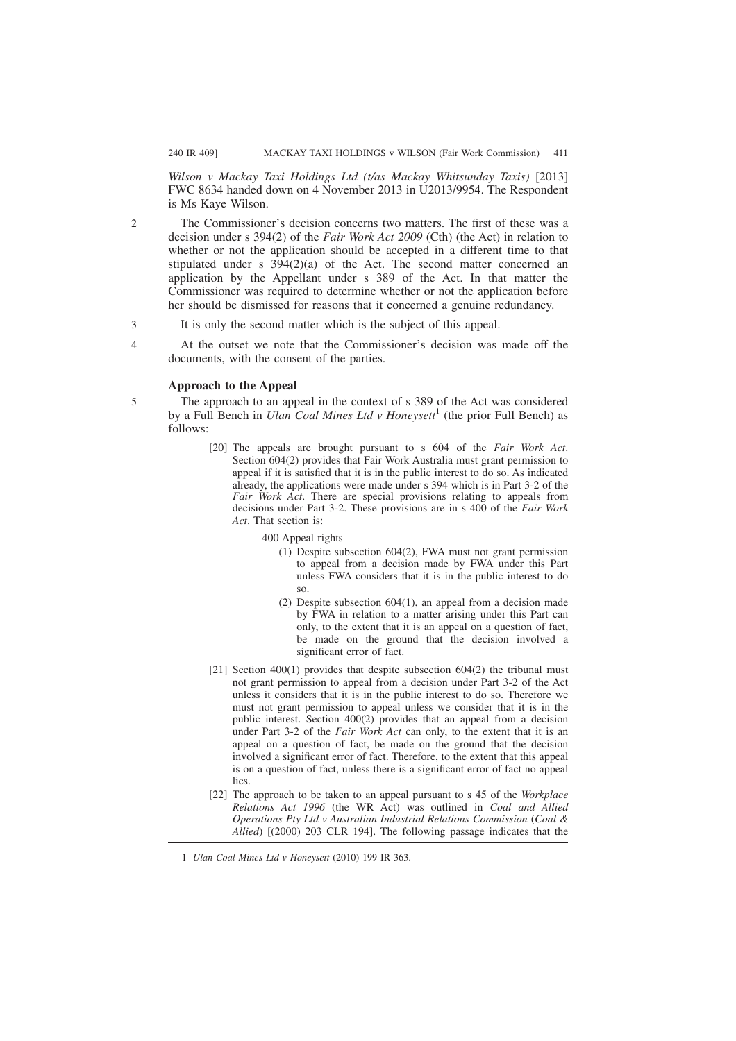*Wilson v Mackay Taxi Holdings Ltd (t/as Mackay Whitsunday Taxis)* [2013] FWC 8634 handed down on 4 November 2013 in U2013/9954. The Respondent is Ms Kaye Wilson.

The Commissioner's decision concerns two matters. The first of these was a decision under s 394(2) of the *Fair Work Act 2009* (Cth) (the Act) in relation to whether or not the application should be accepted in a different time to that stipulated under s  $394(2)(a)$  of the Act. The second matter concerned an application by the Appellant under s 389 of the Act. In that matter the Commissioner was required to determine whether or not the application before her should be dismissed for reasons that it concerned a genuine redundancy.

- It is only the second matter which is the subject of this appeal. 3
- At the outset we note that the Commissioner's decision was made off the documents, with the consent of the parties.  $\overline{A}$

#### **Approach to the Appeal**

- The approach to an appeal in the context of s 389 of the Act was considered by a Full Bench in *Ulan Coal Mines Ltd v Honeysett*<sup>1</sup> (the prior Full Bench) as follows: 5
	- [20] The appeals are brought pursuant to s 604 of the *Fair Work Act*. Section 604(2) provides that Fair Work Australia must grant permission to appeal if it is satisfied that it is in the public interest to do so. As indicated already, the applications were made under s 394 which is in Part 3-2 of the *Fair Work Act*. There are special provisions relating to appeals from decisions under Part 3-2. These provisions are in s 400 of the *Fair Work Act*. That section is:
		- 400 Appeal rights
			- (1) Despite subsection 604(2), FWA must not grant permission to appeal from a decision made by FWA under this Part unless FWA considers that it is in the public interest to do so.
			- (2) Despite subsection 604(1), an appeal from a decision made by FWA in relation to a matter arising under this Part can only, to the extent that it is an appeal on a question of fact, be made on the ground that the decision involved a significant error of fact.
	- [21] Section  $400(1)$  provides that despite subsection  $604(2)$  the tribunal must not grant permission to appeal from a decision under Part 3-2 of the Act unless it considers that it is in the public interest to do so. Therefore we must not grant permission to appeal unless we consider that it is in the public interest. Section 400(2) provides that an appeal from a decision under Part 3-2 of the *Fair Work Act* can only, to the extent that it is an appeal on a question of fact, be made on the ground that the decision involved a significant error of fact. Therefore, to the extent that this appeal is on a question of fact, unless there is a significant error of fact no appeal lies.
	- [22] The approach to be taken to an appeal pursuant to s 45 of the *Workplace Relations Act 1996* (the WR Act) was outlined in *Coal and Allied Operations Pty Ltd v Australian Industrial Relations Commission* (*Coal & Allied*) [(2000) 203 CLR 194]. The following passage indicates that the

1 *Ulan Coal Mines Ltd v Honeysett* (2010) 199 IR 363.

 $\overline{2}$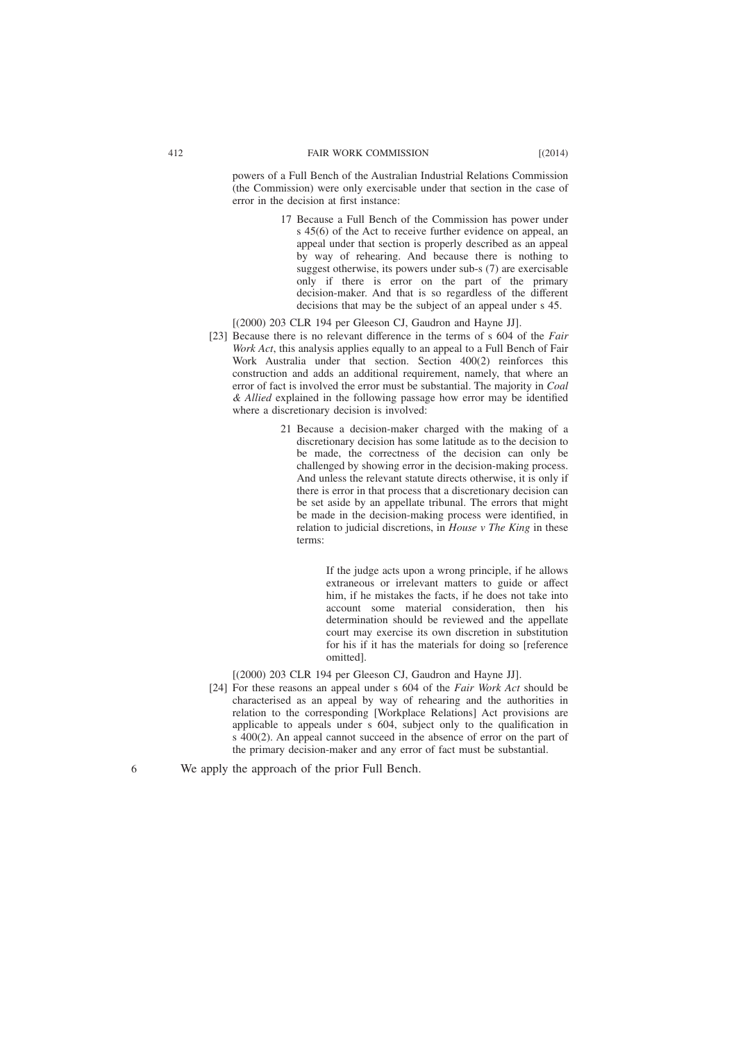powers of a Full Bench of the Australian Industrial Relations Commission (the Commission) were only exercisable under that section in the case of error in the decision at first instance:

- 17 Because a Full Bench of the Commission has power under s 45(6) of the Act to receive further evidence on appeal, an appeal under that section is properly described as an appeal by way of rehearing. And because there is nothing to suggest otherwise, its powers under sub-s (7) are exercisable only if there is error on the part of the primary decision-maker. And that is so regardless of the different decisions that may be the subject of an appeal under s 45.
- [(2000) 203 CLR 194 per Gleeson CJ, Gaudron and Hayne JJ].
- [23] Because there is no relevant difference in the terms of s 604 of the *Fair Work Act*, this analysis applies equally to an appeal to a Full Bench of Fair Work Australia under that section. Section 400(2) reinforces this construction and adds an additional requirement, namely, that where an error of fact is involved the error must be substantial. The majority in *Coal & Allied* explained in the following passage how error may be identified where a discretionary decision is involved:
	- 21 Because a decision-maker charged with the making of a discretionary decision has some latitude as to the decision to be made, the correctness of the decision can only be challenged by showing error in the decision-making process. And unless the relevant statute directs otherwise, it is only if there is error in that process that a discretionary decision can be set aside by an appellate tribunal. The errors that might be made in the decision-making process were identified, in relation to judicial discretions, in *House v The King* in these terms:

If the judge acts upon a wrong principle, if he allows extraneous or irrelevant matters to guide or affect him, if he mistakes the facts, if he does not take into account some material consideration, then his determination should be reviewed and the appellate court may exercise its own discretion in substitution for his if it has the materials for doing so [reference omitted].

 $[(2000) 203$  CLR 194 per Gleeson CJ, Gaudron and Havne JJ.

[24] For these reasons an appeal under s 604 of the *Fair Work Act* should be characterised as an appeal by way of rehearing and the authorities in relation to the corresponding [Workplace Relations] Act provisions are applicable to appeals under s 604, subject only to the qualification in s 400(2). An appeal cannot succeed in the absence of error on the part of the primary decision-maker and any error of fact must be substantial.

We apply the approach of the prior Full Bench.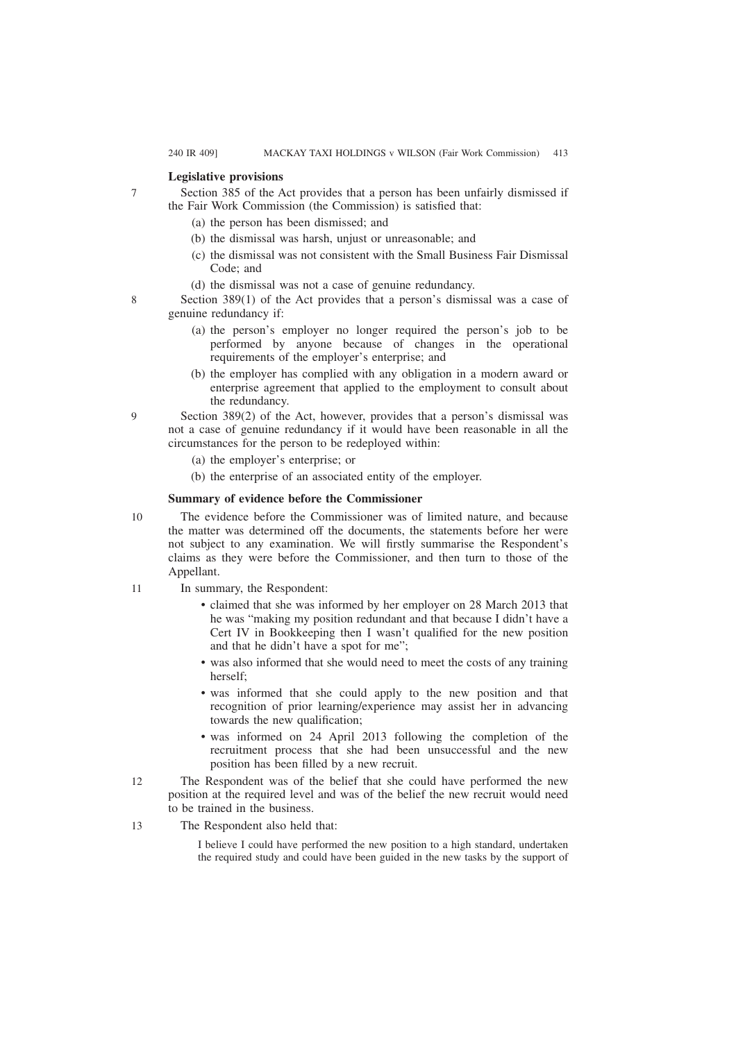# **Legislative provisions**

Section 385 of the Act provides that a person has been unfairly dismissed if the Fair Work Commission (the Commission) is satisfied that:

- (a) the person has been dismissed; and
- (b) the dismissal was harsh, unjust or unreasonable; and
- (c) the dismissal was not consistent with the Small Business Fair Dismissal Code; and
- (d) the dismissal was not a case of genuine redundancy.

Section 389(1) of the Act provides that a person's dismissal was a case of genuine redundancy if:

- (a) the person's employer no longer required the person's job to be performed by anyone because of changes in the operational requirements of the employer's enterprise; and
- (b) the employer has complied with any obligation in a modern award or enterprise agreement that applied to the employment to consult about the redundancy.
- Section 389(2) of the Act, however, provides that a person's dismissal was not a case of genuine redundancy if it would have been reasonable in all the circumstances for the person to be redeployed within:
	- (a) the employer's enterprise; or
	- (b) the enterprise of an associated entity of the employer.

# **Summary of evidence before the Commissioner**

- The evidence before the Commissioner was of limited nature, and because the matter was determined off the documents, the statements before her were not subject to any examination. We will firstly summarise the Respondent's claims as they were before the Commissioner, and then turn to those of the Appellant. 10
- In summary, the Respondent: 11
	- claimed that she was informed by her employer on 28 March 2013 that he was "making my position redundant and that because I didn't have a Cert IV in Bookkeeping then I wasn't qualified for the new position and that he didn't have a spot for me";
	- was also informed that she would need to meet the costs of any training herself;
	- was informed that she could apply to the new position and that recognition of prior learning/experience may assist her in advancing towards the new qualification;
	- was informed on 24 April 2013 following the completion of the recruitment process that she had been unsuccessful and the new position has been filled by a new recruit.
- The Respondent was of the belief that she could have performed the new position at the required level and was of the belief the new recruit would need to be trained in the business.  $12$
- The Respondent also held that: 13

I believe I could have performed the new position to a high standard, undertaken the required study and could have been guided in the new tasks by the support of

9

7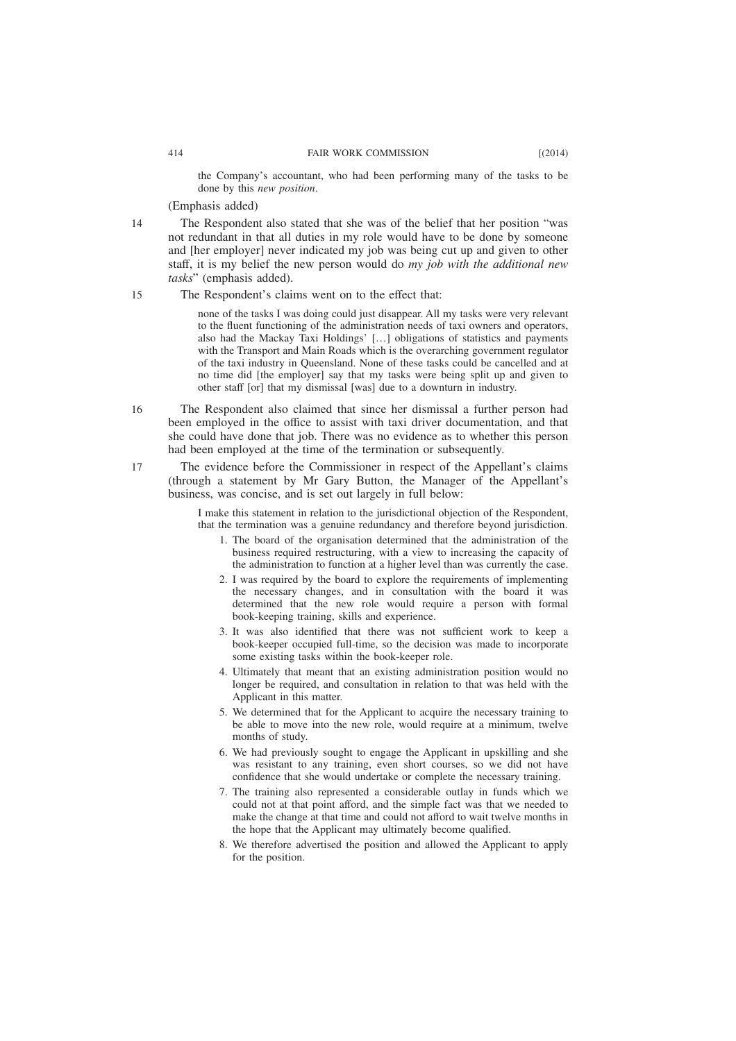the Company's accountant, who had been performing many of the tasks to be done by this *new position*.

(Emphasis added)

14

The Respondent also stated that she was of the belief that her position "was not redundant in that all duties in my role would have to be done by someone and [her employer] never indicated my job was being cut up and given to other staff, it is my belief the new person would do *my job with the additional new tasks*" (emphasis added).

The Respondent's claims went on to the effect that: 15

> none of the tasks I was doing could just disappear. All my tasks were very relevant to the fluent functioning of the administration needs of taxi owners and operators, also had the Mackay Taxi Holdings' […] obligations of statistics and payments with the Transport and Main Roads which is the overarching government regulator of the taxi industry in Queensland. None of these tasks could be cancelled and at no time did [the employer] say that my tasks were being split up and given to other staff [or] that my dismissal [was] due to a downturn in industry.

- The Respondent also claimed that since her dismissal a further person had been employed in the office to assist with taxi driver documentation, and that she could have done that job. There was no evidence as to whether this person had been employed at the time of the termination or subsequently. 16
	- The evidence before the Commissioner in respect of the Appellant's claims (through a statement by Mr Gary Button, the Manager of the Appellant's business, was concise, and is set out largely in full below:

I make this statement in relation to the jurisdictional objection of the Respondent, that the termination was a genuine redundancy and therefore beyond jurisdiction.

- 1. The board of the organisation determined that the administration of the business required restructuring, with a view to increasing the capacity of the administration to function at a higher level than was currently the case.
- 2. I was required by the board to explore the requirements of implementing the necessary changes, and in consultation with the board it was determined that the new role would require a person with formal book-keeping training, skills and experience.
- 3. It was also identified that there was not sufficient work to keep a book-keeper occupied full-time, so the decision was made to incorporate some existing tasks within the book-keeper role.
- 4. Ultimately that meant that an existing administration position would no longer be required, and consultation in relation to that was held with the Applicant in this matter.
- 5. We determined that for the Applicant to acquire the necessary training to be able to move into the new role, would require at a minimum, twelve months of study.
- 6. We had previously sought to engage the Applicant in upskilling and she was resistant to any training, even short courses, so we did not have confidence that she would undertake or complete the necessary training.
- 7. The training also represented a considerable outlay in funds which we could not at that point afford, and the simple fact was that we needed to make the change at that time and could not afford to wait twelve months in the hope that the Applicant may ultimately become qualified.
- 8. We therefore advertised the position and allowed the Applicant to apply for the position.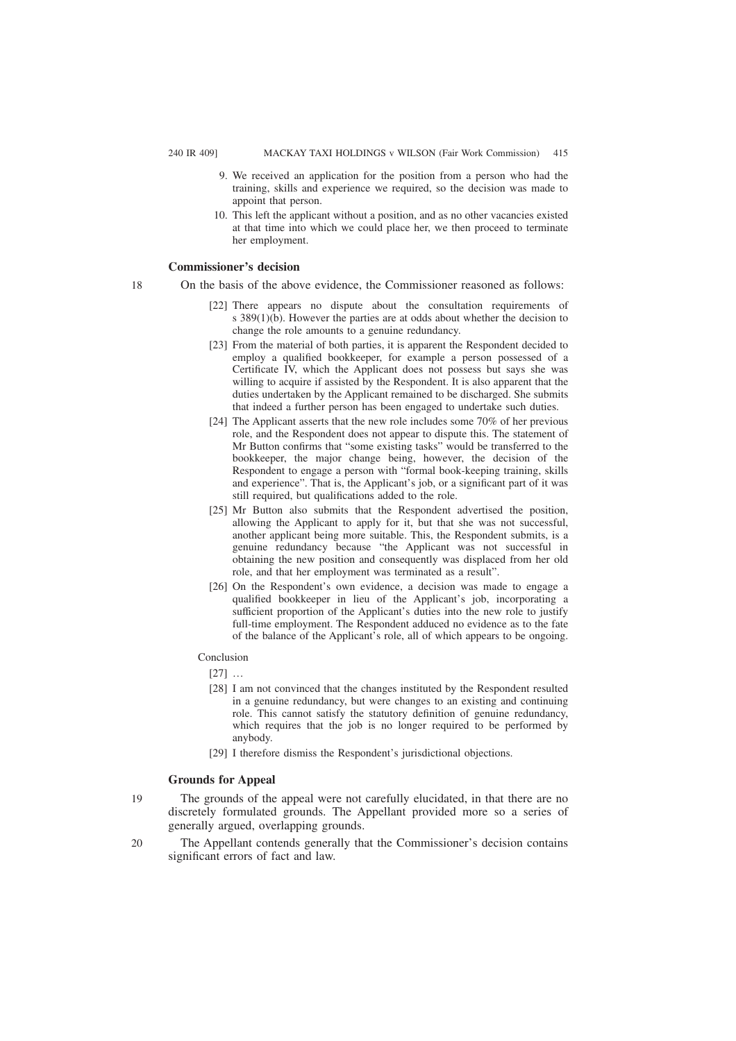- 9. We received an application for the position from a person who had the training, skills and experience we required, so the decision was made to appoint that person.
- 10. This left the applicant without a position, and as no other vacancies existed at that time into which we could place her, we then proceed to terminate her employment.

## **Commissioner's decision**

- 18
- On the basis of the above evidence, the Commissioner reasoned as follows:
	- [22] There appears no dispute about the consultation requirements of s 389(1)(b). However the parties are at odds about whether the decision to change the role amounts to a genuine redundancy.
	- [23] From the material of both parties, it is apparent the Respondent decided to employ a qualified bookkeeper, for example a person possessed of a Certificate IV, which the Applicant does not possess but says she was willing to acquire if assisted by the Respondent. It is also apparent that the duties undertaken by the Applicant remained to be discharged. She submits that indeed a further person has been engaged to undertake such duties.
	- [24] The Applicant asserts that the new role includes some 70% of her previous role, and the Respondent does not appear to dispute this. The statement of Mr Button confirms that "some existing tasks" would be transferred to the bookkeeper, the major change being, however, the decision of the Respondent to engage a person with "formal book-keeping training, skills and experience". That is, the Applicant's job, or a significant part of it was still required, but qualifications added to the role.
	- [25] Mr Button also submits that the Respondent advertised the position, allowing the Applicant to apply for it, but that she was not successful, another applicant being more suitable. This, the Respondent submits, is a genuine redundancy because "the Applicant was not successful in obtaining the new position and consequently was displaced from her old role, and that her employment was terminated as a result".
	- [26] On the Respondent's own evidence, a decision was made to engage a qualified bookkeeper in lieu of the Applicant's job, incorporating a sufficient proportion of the Applicant's duties into the new role to justify full-time employment. The Respondent adduced no evidence as to the fate of the balance of the Applicant's role, all of which appears to be ongoing.

## Conclusion

- [27] …
- [28] I am not convinced that the changes instituted by the Respondent resulted in a genuine redundancy, but were changes to an existing and continuing role. This cannot satisfy the statutory definition of genuine redundancy, which requires that the job is no longer required to be performed by anybody.
- [29] I therefore dismiss the Respondent's jurisdictional objections.

## **Grounds for Appeal**

- The grounds of the appeal were not carefully elucidated, in that there are no discretely formulated grounds. The Appellant provided more so a series of generally argued, overlapping grounds. 19
- The Appellant contends generally that the Commissioner's decision contains significant errors of fact and law. 20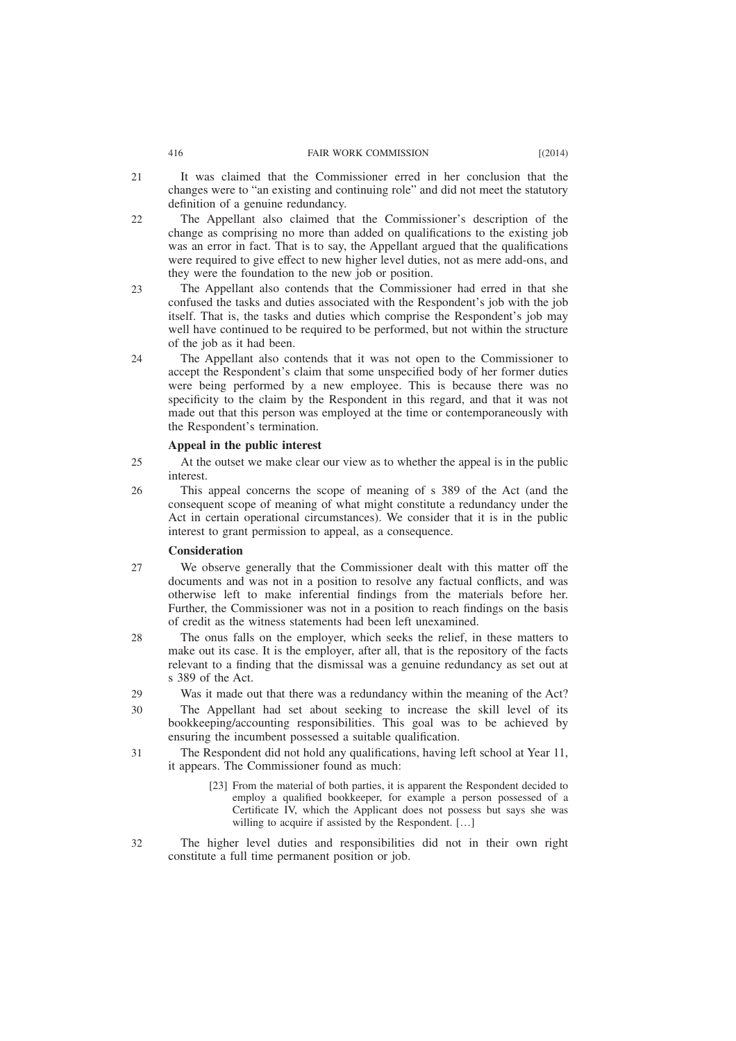#### 416 FAIR WORK COMMISSION [(2014)

- It was claimed that the Commissioner erred in her conclusion that the changes were to "an existing and continuing role" and did not meet the statutory definition of a genuine redundancy. 21
- The Appellant also claimed that the Commissioner's description of the change as comprising no more than added on qualifications to the existing job was an error in fact. That is to say, the Appellant argued that the qualifications were required to give effect to new higher level duties, not as mere add-ons, and they were the foundation to the new job or position. 22
- The Appellant also contends that the Commissioner had erred in that she confused the tasks and duties associated with the Respondent's job with the job itself. That is, the tasks and duties which comprise the Respondent's job may well have continued to be required to be performed, but not within the structure of the job as it had been. 23
- The Appellant also contends that it was not open to the Commissioner to accept the Respondent's claim that some unspecified body of her former duties were being performed by a new employee. This is because there was no specificity to the claim by the Respondent in this regard, and that it was not made out that this person was employed at the time or contemporaneously with the Respondent's termination. 24

## **Appeal in the public interest**

- At the outset we make clear our view as to whether the appeal is in the public interest. 25
- This appeal concerns the scope of meaning of s 389 of the Act (and the consequent scope of meaning of what might constitute a redundancy under the Act in certain operational circumstances). We consider that it is in the public interest to grant permission to appeal, as a consequence. 26

## **Consideration**

- We observe generally that the Commissioner dealt with this matter off the documents and was not in a position to resolve any factual conflicts, and was otherwise left to make inferential findings from the materials before her. Further, the Commissioner was not in a position to reach findings on the basis of credit as the witness statements had been left unexamined. 27
- The onus falls on the employer, which seeks the relief, in these matters to make out its case. It is the employer, after all, that is the repository of the facts relevant to a finding that the dismissal was a genuine redundancy as set out at s 389 of the Act. 28
- Was it made out that there was a redundancy within the meaning of the Act? 29
- The Appellant had set about seeking to increase the skill level of its bookkeeping/accounting responsibilities. This goal was to be achieved by ensuring the incumbent possessed a suitable qualification. 30
- The Respondent did not hold any qualifications, having left school at Year 11, it appears. The Commissioner found as much: 31
	- [23] From the material of both parties, it is apparent the Respondent decided to employ a qualified bookkeeper, for example a person possessed of a Certificate IV, which the Applicant does not possess but says she was willing to acquire if assisted by the Respondent. [...]
- The higher level duties and responsibilities did not in their own right constitute a full time permanent position or job. 32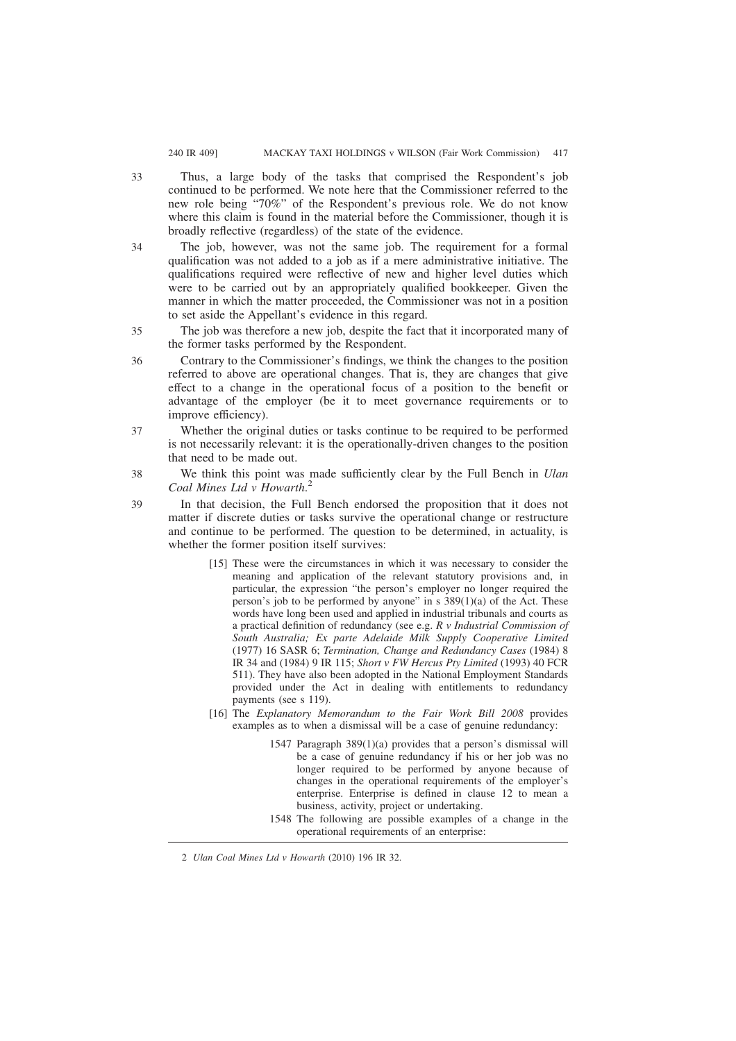#### 240 IR 409] MACKAY TAXI HOLDINGS v WILSON (Fair Work Commission) 417

- Thus, a large body of the tasks that comprised the Respondent's job continued to be performed. We note here that the Commissioner referred to the new role being "70%" of the Respondent's previous role. We do not know where this claim is found in the material before the Commissioner, though it is broadly reflective (regardless) of the state of the evidence.
- The job, however, was not the same job. The requirement for a formal qualification was not added to a job as if a mere administrative initiative. The qualifications required were reflective of new and higher level duties which were to be carried out by an appropriately qualified bookkeeper. Given the manner in which the matter proceeded, the Commissioner was not in a position to set aside the Appellant's evidence in this regard. 34
- The job was therefore a new job, despite the fact that it incorporated many of the former tasks performed by the Respondent. 35
- Contrary to the Commissioner's findings, we think the changes to the position referred to above are operational changes. That is, they are changes that give effect to a change in the operational focus of a position to the benefit or advantage of the employer (be it to meet governance requirements or to improve efficiency). 36
- Whether the original duties or tasks continue to be required to be performed is not necessarily relevant: it is the operationally-driven changes to the position that need to be made out. 37
- We think this point was made sufficiently clear by the Full Bench in *Ulan Coal Mines Ltd v Howarth*. 2 38
- In that decision, the Full Bench endorsed the proposition that it does not matter if discrete duties or tasks survive the operational change or restructure and continue to be performed. The question to be determined, in actuality, is whether the former position itself survives: 39
	- [15] These were the circumstances in which it was necessary to consider the meaning and application of the relevant statutory provisions and, in particular, the expression "the person's employer no longer required the person's job to be performed by anyone" in s  $389(1)(a)$  of the Act. These words have long been used and applied in industrial tribunals and courts as a practical definition of redundancy (see e.g. *R v Industrial Commission of South Australia; Ex parte Adelaide Milk Supply Cooperative Limited* (1977) 16 SASR 6; *Termination, Change and Redundancy Cases* (1984) 8 IR 34 and (1984) 9 IR 115; *Short v FW Hercus Pty Limited* (1993) 40 FCR 511). They have also been adopted in the National Employment Standards provided under the Act in dealing with entitlements to redundancy payments (see s 119).
	- [16] The *Explanatory Memorandum to the Fair Work Bill 2008* provides examples as to when a dismissal will be a case of genuine redundancy:
		- 1547 Paragraph 389(1)(a) provides that a person's dismissal will be a case of genuine redundancy if his or her job was no longer required to be performed by anyone because of changes in the operational requirements of the employer's enterprise. Enterprise is defined in clause 12 to mean a business, activity, project or undertaking.
		- 1548 The following are possible examples of a change in the operational requirements of an enterprise:

<sup>2</sup> *Ulan Coal Mines Ltd v Howarth* (2010) 196 IR 32.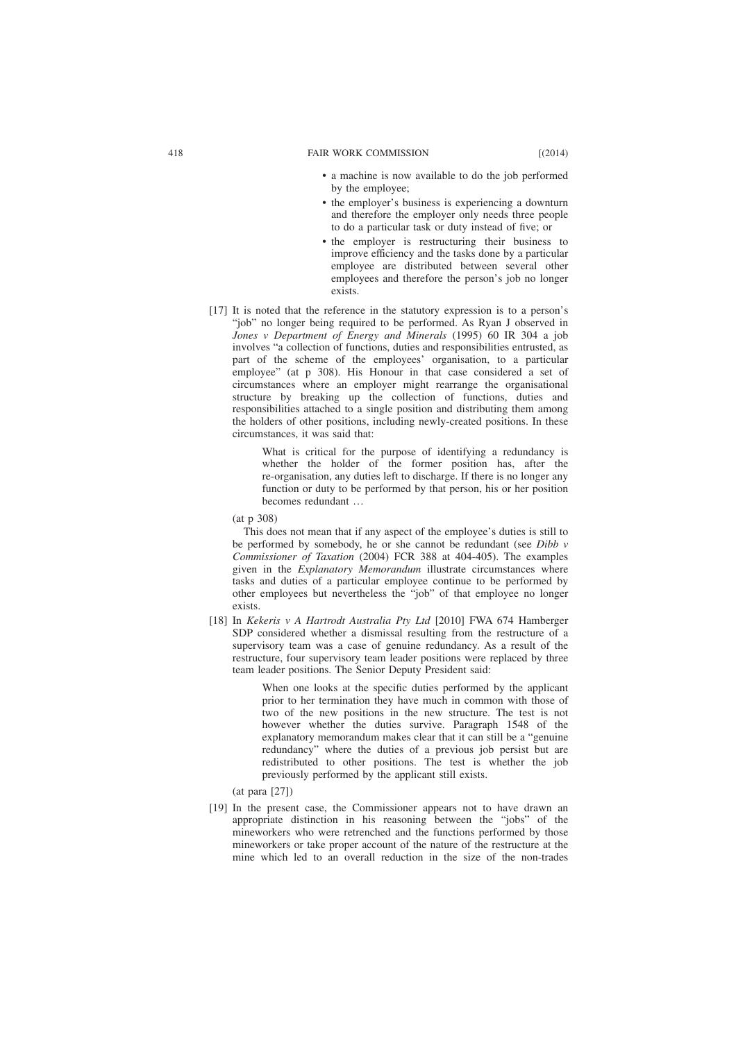- a machine is now available to do the job performed by the employee;
- the employer's business is experiencing a downturn and therefore the employer only needs three people to do a particular task or duty instead of five; or
- the employer is restructuring their business to improve efficiency and the tasks done by a particular employee are distributed between several other employees and therefore the person's job no longer exists.
- [17] It is noted that the reference in the statutory expression is to a person's "job" no longer being required to be performed. As Ryan J observed in *Jones v Department of Energy and Minerals* (1995) 60 IR 304 a job involves "a collection of functions, duties and responsibilities entrusted, as part of the scheme of the employees' organisation, to a particular employee" (at p 308). His Honour in that case considered a set of circumstances where an employer might rearrange the organisational structure by breaking up the collection of functions, duties and responsibilities attached to a single position and distributing them among the holders of other positions, including newly-created positions. In these circumstances, it was said that:

What is critical for the purpose of identifying a redundancy is whether the holder of the former position has, after the re-organisation, any duties left to discharge. If there is no longer any function or duty to be performed by that person, his or her position becomes redundant …

(at p 308)

This does not mean that if any aspect of the employee's duties is still to be performed by somebody, he or she cannot be redundant (see *Dibb v Commissioner of Taxation* (2004) FCR 388 at 404-405). The examples given in the *Explanatory Memorandum* illustrate circumstances where tasks and duties of a particular employee continue to be performed by other employees but nevertheless the "job" of that employee no longer exists.

[18] In *Kekeris v A Hartrodt Australia Pty Ltd* [2010] FWA 674 Hamberger SDP considered whether a dismissal resulting from the restructure of a supervisory team was a case of genuine redundancy. As a result of the restructure, four supervisory team leader positions were replaced by three team leader positions. The Senior Deputy President said:

> When one looks at the specific duties performed by the applicant prior to her termination they have much in common with those of two of the new positions in the new structure. The test is not however whether the duties survive. Paragraph 1548 of the explanatory memorandum makes clear that it can still be a "genuine redundancy" where the duties of a previous job persist but are redistributed to other positions. The test is whether the job previously performed by the applicant still exists.

(at para [27])

[19] In the present case, the Commissioner appears not to have drawn an appropriate distinction in his reasoning between the "jobs" of the mineworkers who were retrenched and the functions performed by those mineworkers or take proper account of the nature of the restructure at the mine which led to an overall reduction in the size of the non-trades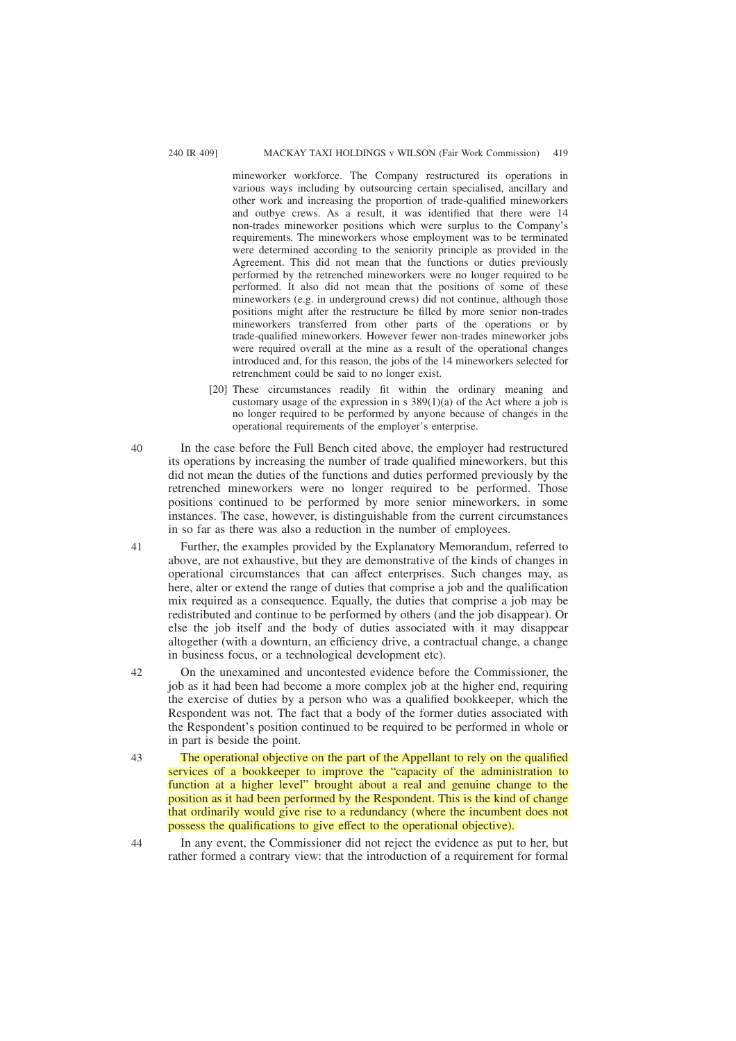mineworker workforce. The Company restructured its operations in various ways including by outsourcing certain specialised, ancillary and other work and increasing the proportion of trade-qualified mineworkers and outbye crews. As a result, it was identified that there were 14 non-trades mineworker positions which were surplus to the Company's requirements. The mineworkers whose employment was to be terminated were determined according to the seniority principle as provided in the Agreement. This did not mean that the functions or duties previously performed by the retrenched mineworkers were no longer required to be performed. It also did not mean that the positions of some of these mineworkers (e.g. in underground crews) did not continue, although those positions might after the restructure be filled by more senior non-trades mineworkers transferred from other parts of the operations or by trade-qualified mineworkers. However fewer non-trades mineworker jobs were required overall at the mine as a result of the operational changes introduced and, for this reason, the jobs of the 14 mineworkers selected for retrenchment could be said to no longer exist.

- [20] These circumstances readily fit within the ordinary meaning and customary usage of the expression in s  $389(1)(a)$  of the Act where a job is no longer required to be performed by anyone because of changes in the operational requirements of the employer's enterprise.
- In the case before the Full Bench cited above, the employer had restructured its operations by increasing the number of trade qualified mineworkers, but this did not mean the duties of the functions and duties performed previously by the retrenched mineworkers were no longer required to be performed. Those positions continued to be performed by more senior mineworkers, in some instances. The case, however, is distinguishable from the current circumstances in so far as there was also a reduction in the number of employees.
- Further, the examples provided by the Explanatory Memorandum, referred to above, are not exhaustive, but they are demonstrative of the kinds of changes in operational circumstances that can affect enterprises. Such changes may, as here, alter or extend the range of duties that comprise a job and the qualification mix required as a consequence. Equally, the duties that comprise a job may be redistributed and continue to be performed by others (and the job disappear). Or else the job itself and the body of duties associated with it may disappear altogether (with a downturn, an efficiency drive, a contractual change, a change in business focus, or a technological development etc). 41
	- On the unexamined and uncontested evidence before the Commissioner, the job as it had been had become a more complex job at the higher end, requiring the exercise of duties by a person who was a qualified bookkeeper, which the Respondent was not. The fact that a body of the former duties associated with the Respondent's position continued to be required to be performed in whole or in part is beside the point.
- The operational objective on the part of the Appellant to rely on the qualified services of a bookkeeper to improve the "capacity of the administration to function at a higher level" brought about a real and genuine change to the position as it had been performed by the Respondent. This is the kind of change that ordinarily would give rise to a redundancy (where the incumbent does not possess the qualifications to give effect to the operational objective). 43
	- In any event, the Commissioner did not reject the evidence as put to her, but rather formed a contrary view: that the introduction of a requirement for formal

40

42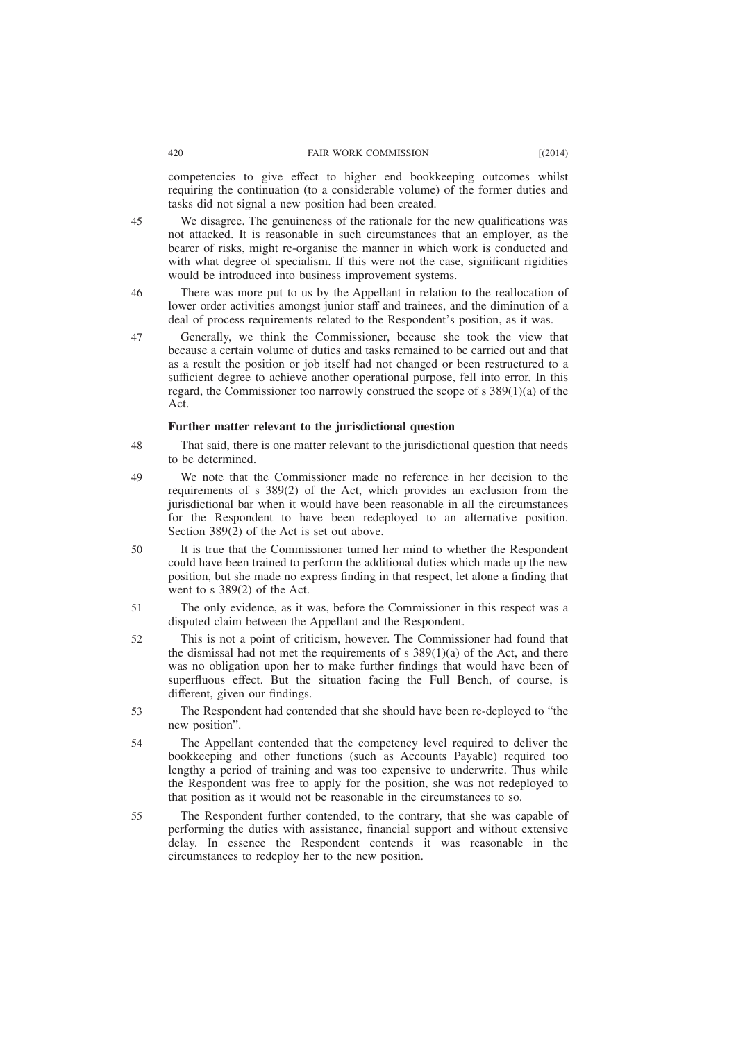#### 420 FAIR WORK COMMISSION [(2014)

competencies to give effect to higher end bookkeeping outcomes whilst requiring the continuation (to a considerable volume) of the former duties and tasks did not signal a new position had been created.

We disagree. The genuineness of the rationale for the new qualifications was not attacked. It is reasonable in such circumstances that an employer, as the bearer of risks, might re-organise the manner in which work is conducted and with what degree of specialism. If this were not the case, significant rigidities would be introduced into business improvement systems. 45

- There was more put to us by the Appellant in relation to the reallocation of lower order activities amongst junior staff and trainees, and the diminution of a deal of process requirements related to the Respondent's position, as it was. 46
- Generally, we think the Commissioner, because she took the view that because a certain volume of duties and tasks remained to be carried out and that as a result the position or job itself had not changed or been restructured to a sufficient degree to achieve another operational purpose, fell into error. In this regard, the Commissioner too narrowly construed the scope of s 389(1)(a) of the Act. 47

#### **Further matter relevant to the jurisdictional question**

- That said, there is one matter relevant to the jurisdictional question that needs to be determined. 48
- We note that the Commissioner made no reference in her decision to the requirements of s 389(2) of the Act, which provides an exclusion from the jurisdictional bar when it would have been reasonable in all the circumstances for the Respondent to have been redeployed to an alternative position. Section 389(2) of the Act is set out above. 49
- It is true that the Commissioner turned her mind to whether the Respondent could have been trained to perform the additional duties which made up the new position, but she made no express finding in that respect, let alone a finding that went to s 389(2) of the Act. 50
- The only evidence, as it was, before the Commissioner in this respect was a disputed claim between the Appellant and the Respondent. 51
- This is not a point of criticism, however. The Commissioner had found that the dismissal had not met the requirements of s  $389(1)(a)$  of the Act, and there was no obligation upon her to make further findings that would have been of superfluous effect. But the situation facing the Full Bench, of course, is different, given our findings. 52
- The Respondent had contended that she should have been re-deployed to "the new position". 53
- The Appellant contended that the competency level required to deliver the bookkeeping and other functions (such as Accounts Payable) required too lengthy a period of training and was too expensive to underwrite. Thus while the Respondent was free to apply for the position, she was not redeployed to that position as it would not be reasonable in the circumstances to so. 54
- The Respondent further contended, to the contrary, that she was capable of performing the duties with assistance, financial support and without extensive delay. In essence the Respondent contends it was reasonable in the circumstances to redeploy her to the new position. 55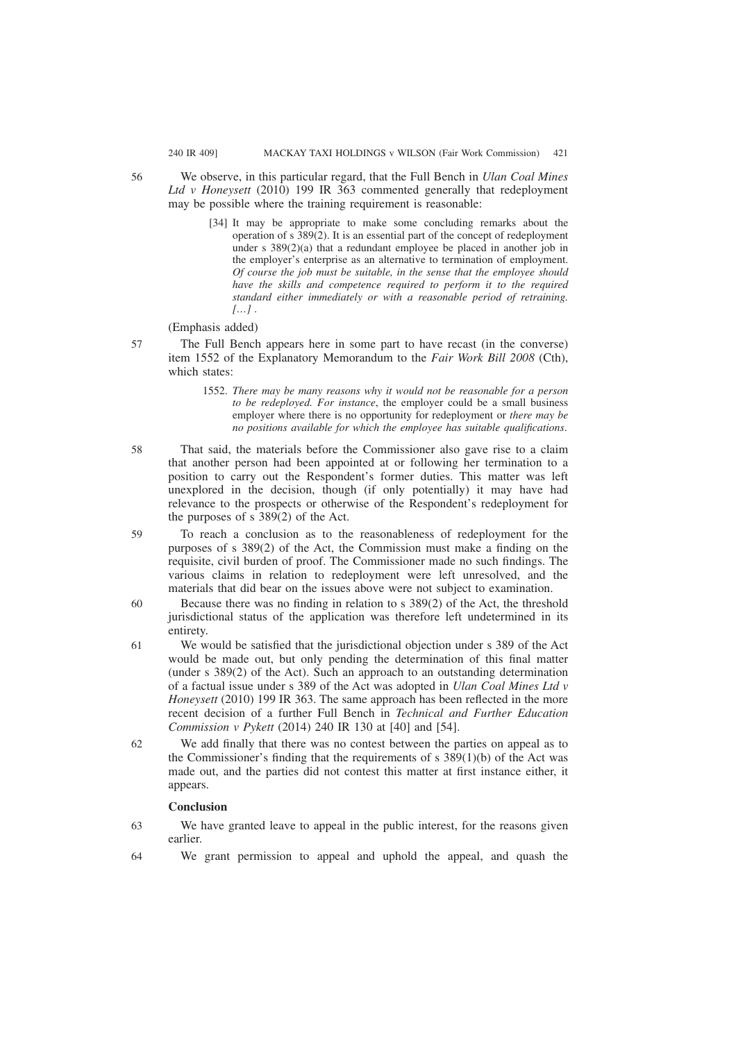56

- We observe, in this particular regard, that the Full Bench in *Ulan Coal Mines Ltd v Honeysett* (2010) 199 IR 363 commented generally that redeployment may be possible where the training requirement is reasonable:
	- [34] It may be appropriate to make some concluding remarks about the operation of s 389(2). It is an essential part of the concept of redeployment under s 389(2)(a) that a redundant employee be placed in another job in the employer's enterprise as an alternative to termination of employment. *Of course the job must be suitable, in the sense that the employee should have the skills and competence required to perform it to the required standard either immediately or with a reasonable period of retraining. […] .*

## (Emphasis added)

- The Full Bench appears here in some part to have recast (in the converse) item 1552 of the Explanatory Memorandum to the *Fair Work Bill 2008* (Cth), which states: 57
	- 1552. *There may be many reasons why it would not be reasonable for a person to be redeployed. For instance*, the employer could be a small business employer where there is no opportunity for redeployment or *there may be no positions available for which the employee has suitable qualifications*.
- That said, the materials before the Commissioner also gave rise to a claim that another person had been appointed at or following her termination to a position to carry out the Respondent's former duties. This matter was left unexplored in the decision, though (if only potentially) it may have had relevance to the prospects or otherwise of the Respondent's redeployment for the purposes of s 389(2) of the Act. 58
- To reach a conclusion as to the reasonableness of redeployment for the purposes of s 389(2) of the Act, the Commission must make a finding on the requisite, civil burden of proof. The Commissioner made no such findings. The various claims in relation to redeployment were left unresolved, and the materials that did bear on the issues above were not subject to examination. 59
- Because there was no finding in relation to s 389(2) of the Act, the threshold jurisdictional status of the application was therefore left undetermined in its entirety. 60
- We would be satisfied that the jurisdictional objection under s 389 of the Act would be made out, but only pending the determination of this final matter (under s 389(2) of the Act). Such an approach to an outstanding determination of a factual issue under s 389 of the Act was adopted in *Ulan Coal Mines Ltd v Honeysett* (2010) 199 IR 363. The same approach has been reflected in the more recent decision of a further Full Bench in *Technical and Further Education Commission v Pykett* (2014) 240 IR 130 at [40] and [54]. 61
- We add finally that there was no contest between the parties on appeal as to the Commissioner's finding that the requirements of s  $389(1)(b)$  of the Act was made out, and the parties did not contest this matter at first instance either, it appears. 62

# **Conclusion**

- We have granted leave to appeal in the public interest, for the reasons given earlier. 63
- We grant permission to appeal and uphold the appeal, and quash the 64